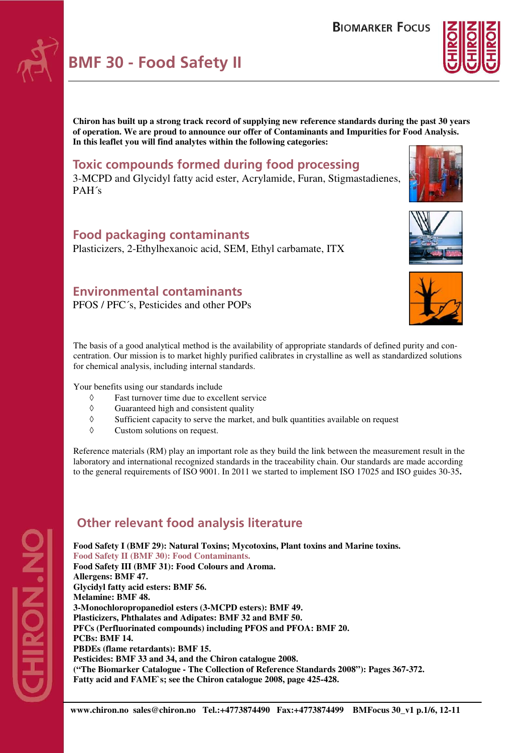



**Chiron has built up a strong track record of supplying new reference standards during the past 30 years of operation. We are proud to announce our offer of Contaminants and Impurities for Food Analysis. In this leaflet you will find analytes within the following categories:** 

## **Toxic compounds formed during food processing**

3-MCPD and Glycidyl fatty acid ester, Acrylamide, Furan, Stigmastadienes, PAH´s

### **Food packaging contaminants**

Plasticizers, 2-Ethylhexanoic acid, SEM, Ethyl carbamate, ITX

## **Environmental contaminants**

PFOS / PFC´s, Pesticides and other POPs





The basis of a good analytical method is the availability of appropriate standards of defined purity and concentration. Our mission is to market highly purified calibrates in crystalline as well as standardized solutions for chemical analysis, including internal standards.

Your benefits using our standards include

- ◊ Fast turnover time due to excellent service
- ◊ Guaranteed high and consistent quality
- ◊ Sufficient capacity to serve the market, and bulk quantities available on request
- ◊ Custom solutions on request.

Reference materials (RM) play an important role as they build the link between the measurement result in the laboratory and international recognized standards in the traceability chain. Our standards are made according to the general requirements of ISO 9001. In 2011 we started to implement ISO 17025 and ISO guides 30-35**.** 

## **Other relevant food analysis literature**

**Food Safety I (BMF 29): Natural Toxins; Mycotoxins, Plant toxins and Marine toxins. Food Safety II (BMF 30): Food Contaminants. Food Safety III (BMF 31): Food Colours and Aroma. Allergens: BMF 47. Glycidyl fatty acid esters: BMF 56. Melamine: BMF 48. 3-Monochloropropanediol esters (3-MCPD esters): BMF 49. Plasticizers, Phthalates and Adipates: BMF 32 and BMF 50. PFCs (Perfluorinated compounds) including PFOS and PFOA: BMF 20. PCBs: BMF 14. PBDEs (flame retardants): BMF 15. Pesticides: BMF 33 and 34, and the Chiron catalogue 2008. ("The Biomarker Catalogue - The Collection of Reference Standards 2008"): Pages 367-372. Fatty acid and FAME`s; see the Chiron catalogue 2008, page 425-428.** 

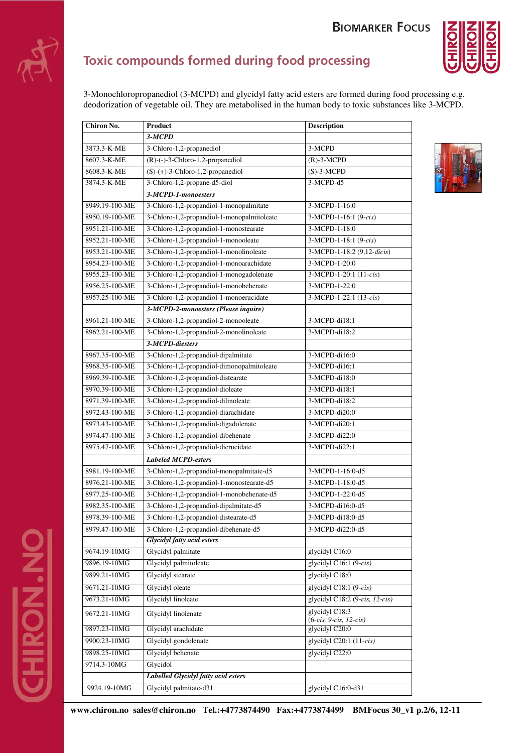# **BIOMARKER FOCUS**



# **Toxic compounds formed during food processing**

3-Monochloropropanediol (3-MCPD) and glycidyl fatty acid esters are formed during food processing e.g. deodorization of vegetable oil. They are metabolised in the human body to toxic substances like 3-MCPD.

| Chiron No.     | Product                                    | <b>Description</b>                         |
|----------------|--------------------------------------------|--------------------------------------------|
|                | 3-MCPD                                     |                                            |
| 3873.3-K-ME    | 3-Chloro-1,2-propanediol                   | 3-MCPD                                     |
| 8607.3-K-ME    | $(R)$ -(-)-3-Chloro-1,2-propanediol        | $(R)$ -3-MCPD                              |
| 8608.3-K-ME    | $(S)-(+)$ -3-Chloro-1,2-propanediol        | $(S)-3-MCPD$                               |
| 3874.3-K-ME    | 3-Chloro-1,2-propane-d5-diol               | 3-MCPD-d5                                  |
|                | 3-MCPD-1-monoesters                        |                                            |
| 8949.19-100-ME | 3-Chloro-1,2-propandiol-1-monopalmitate    | 3-MCPD-1-16:0                              |
| 8950.19-100-ME | 3-Chloro-1,2-propandiol-1-monopalmitoleate | 3-MCPD-1-16:1 (9-cis)                      |
| 8951.21-100-ME | 3-Chloro-1,2-propandiol-1-monostearate     | 3-MCPD-1-18:0                              |
| 8952.21-100-ME | 3-Chloro-1,2-propandiol-1-monooleate       | 3-MCPD-1-18:1 (9-cis)                      |
| 8953.21-100-ME | 3-Chloro-1,2-propandiol-1-monolinoleate    | 3-MCPD-1-18:2 (9,12-dicis)                 |
| 8954.23-100-ME | 3-Chloro-1,2-propandiol-1-monoarachidate   | 3-MCPD-1-20:0                              |
| 8955.23-100-ME | 3-Chloro-1,2-propandiol-1-monogadolenate   | 3-MCPD-1-20:1 (11-cis)                     |
| 8956.25-100-ME | 3-Chloro-1,2-propandiol-1-monobehenate     | 3-MCPD-1-22:0                              |
| 8957.25-100-ME | 3-Chloro-1,2-propandiol-1-monoerucidate    | 3-MCPD-1-22:1 (13-cis)                     |
|                | 3-MCPD-2-monoesters (Please inquire)       |                                            |
| 8961.21-100-ME | 3-Chloro-1,2-propandiol-2-monooleate       | 3-MCPD-di18:1                              |
| 8962.21-100-ME | 3-Chloro-1,2-propandiol-2-monolinoleate    | 3-MCPD-di18:2                              |
|                | 3-MCPD-diesters                            |                                            |
| 8967.35-100-ME | 3-Chloro-1,2-propandiol-dipalmitate        | 3-MCPD-di16:0                              |
| 8968.35-100-ME | 3-Chloro-1,2-propandiol-dimonopalmitoleate | 3-MCPD-di16:1                              |
| 8969.39-100-ME | 3-Chloro-1,2-propandiol-distearate         | 3-MCPD-di18:0                              |
| 8970.39-100-ME | 3-Chloro-1,2-propandiol-dioleate           | 3-MCPD-di18:1                              |
| 8971.39-100-ME | 3-Chloro-1,2-propandiol-dilinoleate        | 3-MCPD-di18:2                              |
| 8972.43-100-ME | 3-Chloro-1,2-propandiol-diarachidate       | 3-MCPD-di20:0                              |
| 8973.43-100-ME | 3-Chloro-1,2-propandiol-digadolenate       | 3-MCPD-di20:1                              |
| 8974.47-100-ME | 3-Chloro-1,2-propandiol-dibehenate         | 3-MCPD-di22:0                              |
| 8975.47-100-ME | 3-Chloro-1,2-propandiol-dierucidate        | 3-MCPD-di22:1                              |
|                | <b>Labeled MCPD-esters</b>                 |                                            |
| 8981.19-100-ME | 3-Chloro-1,2-propandiol-monopalmitate-d5   | 3-MCPD-1-16:0-d5                           |
| 8976.21-100-ME | 3-Chloro-1,2-propandiol-1-monostearate-d5  | 3-MCPD-1-18:0-d5                           |
| 8977.25-100-ME | 3-Chloro-1,2-propandiol-1-monobehenate-d5  | 3-MCPD-1-22:0-d5                           |
| 8982.35-100-ME | 3-Chloro-1,2-propandiol-dipalmitate-d5     | 3-MCPD-di16:0-d5                           |
| 8978.39-100-ME | 3-Chloro-1,2-propandiol-distearate-d5      | 3-MCPD-di18:0-d5                           |
| 8979.47-100-ME | 3-Chloro-1,2-propandiol-dibehenate-d5      | 3-MCPD-di22:0-d5                           |
|                | <b>Glycidyl fatty acid esters</b>          |                                            |
| 9674.19-10MG   | Glycidyl palmitate                         | glycidyl C16:0                             |
| 9896.19-10MG   | Glycidyl palmitoleate                      | glycidyl C16:1 $(9-cis)$                   |
| 9899.21-10MG   | Glycidyl stearate                          | glycidyl C18:0                             |
| 9671.21-10MG   | Glycidyl oleate                            | glycidyl C18:1 (9-cis)                     |
| 9673.21-10MG   | Glycidyl linoleate                         | glycidyl C18:2 (9-cis, 12-cis)             |
| 9672.21-10MG   | Glycidyl linolenate                        | glycidyl C18:3<br>$(6-cis, 9-cis, 12-cis)$ |
| 9897.23-10MG   | Glycidyl arachidate                        | glycidyl C20:0                             |
| 9900.23-10MG   | Glycidyl gondolenate                       | glycidyl C20:1 (11-cis)                    |
| 9898.25-10MG   | Glycidyl behenate                          | glycidyl C22:0                             |
| 9714.3-10MG    | Glycidol                                   |                                            |
|                | Labelled Glycidyl fatty acid esters        |                                            |
| 9924.19-10MG   | Glycidyl palmitate-d31                     | glycidyl C16:0-d31                         |
|                |                                            |                                            |

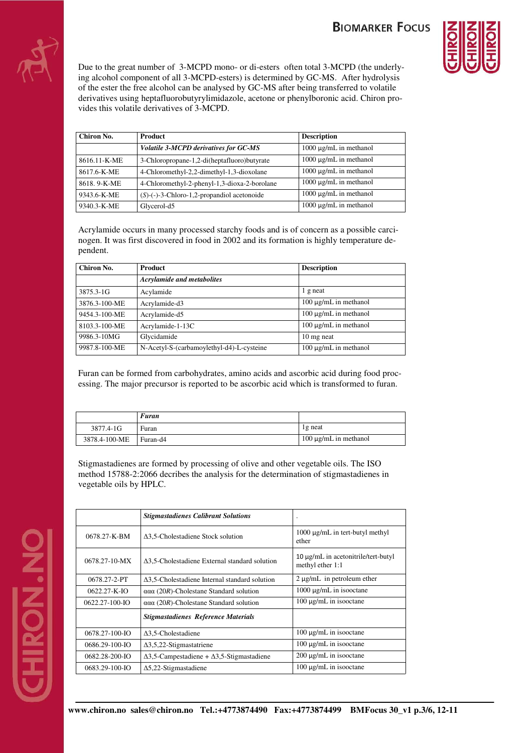# **BIOMARKER FOCUS**



Due to the great number of 3-MCPD mono- or di-esters often total 3-MCPD (the underlying alcohol component of all 3-MCPD-esters) is determined by GC-MS. After hydrolysis of the ester the free alcohol can be analysed by GC-MS after being transferred to volatile derivatives using heptafluorobutyrylimidazole, acetone or phenylboronic acid. Chiron provides this volatile derivatives of 3-MCPD.

| Chiron No.   | <b>Product</b>                                    | <b>Description</b>          |
|--------------|---------------------------------------------------|-----------------------------|
|              | Volatile 3-MCPD derivatives for GC-MS             | $1000 \mu g/mL$ in methanol |
| 8616.11-K-ME | 3-Chloropropane-1,2-di(heptafluoro)butyrate       | $1000 \mu g/mL$ in methanol |
| 8617.6-K-ME  | 4-Chloromethyl-2,2-dimethyl-1,3-dioxolane         | $1000 \mu g/mL$ in methanol |
| 8618.9-K-ME  | 4-Chloromethyl-2-phenyl-1,3-dioxa-2-borolane      | $1000 \mu g/mL$ in methanol |
| 9343.6-K-ME  | $(S)$ - $(-)$ -3-Chloro-1,2-propandiol acetonoide | $1000 \mu g/mL$ in methanol |
| 9340.3-K-ME  | Glycerol-d5                                       | 1000 μg/mL in methanol      |

Acrylamide occurs in many processed starchy foods and is of concern as a possible carcinogen. It was first discovered in food in 2002 and its formation is highly temperature dependent.

| Chiron No.    | <b>Product</b>                            | <b>Description</b>         |
|---------------|-------------------------------------------|----------------------------|
|               | <b>Acrylamide and metabolites</b>         |                            |
| 3875.3-1G     | Acylamide                                 | 1 g neat                   |
| 3876.3-100-ME | Acrylamide-d3                             | $100 \mu g/mL$ in methanol |
| 9454.3-100-ME | Acrylamide-d5                             | $100 \mu g/mL$ in methanol |
| 8103.3-100-ME | Acrylamide-1-13C                          | $100 \mu g/mL$ in methanol |
| 9986.3-10MG   | Glycidamide                               | 10 mg neat                 |
| 9987.8-100-ME | N-Acetyl-S-(carbamoylethyl-d4)-L-cysteine | $100 \mu g/mL$ in methanol |

Furan can be formed from carbohydrates, amino acids and ascorbic acid during food processing. The major precursor is reported to be ascorbic acid which is transformed to furan.

|               | Furan    |                            |
|---------------|----------|----------------------------|
| 3877.4-1G     | Furan    | lg neat                    |
| 3878.4-100-ME | Furan-d4 | $100 \mu$ g/mL in methanol |

Stigmastadienes are formed by processing of olive and other vegetable oils. The ISO method 15788-2:2066 decribes the analysis for the determination of stigmastadienes in vegetable oils by HPLC.

|                      | <b>Stigmastadienes Calibrant Solutions</b>               | $\blacksquare$                                          |
|----------------------|----------------------------------------------------------|---------------------------------------------------------|
| 0678.27-K-BM         | $\Delta$ 3,5-Cholestadiene Stock solution                | $1000 \mu g/mL$ in tert-butyl methyl<br>ether           |
| $0678.27 - 10-MX$    | $\Delta$ 3,5-Cholestadiene External standard solution    | 10 μg/mL in acetonitrile/tert-butyl<br>methyl ether 1:1 |
| 0678.27-2-PT         | $\Delta$ 3,5-Cholestadiene Internal standard solution    | $2 \mu g/mL$ in petroleum ether                         |
| $0622.27 - K - IO$   | $\alpha\alpha\alpha$ (20R)-Cholestane Standard solution  | $1000 \mu g/mL$ in isoloctane                           |
| $0622.27 - 100 - 10$ | $\alpha\alpha\alpha$ (20R)-Cholestane Standard solution  | $100 \mu g/mL$ in isoloctane                            |
|                      | <b>Stigmastadienes Reference Materials</b>               |                                                         |
| $0678.27 - 100 - 10$ | $\Delta$ 3,5-Cholestadiene                               | $100 \mu g/mL$ in isoloctane                            |
| 0686.29-100-IO       | $\Delta$ 3,5,22-Stigmastatriene                          | $100 \mu g/mL$ in isoloctane                            |
| $0682.28 - 200 - 10$ | $\Delta$ 3,5-Campestadiene + $\Delta$ 3,5-Stigmastadiene | $200 \mu g/mL$ in isoloctane                            |
| 0683.29-100-IO       | $\Delta$ 5,22-Stigmastadiene                             | $100 \mu g/mL$ in isoloctane                            |

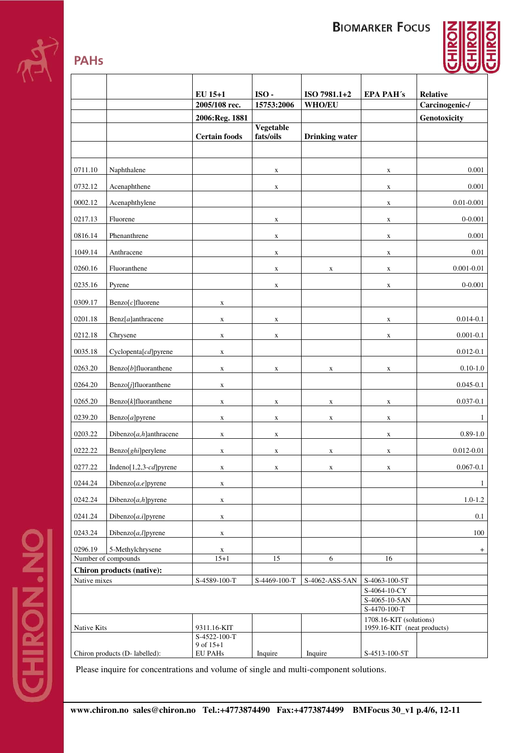**BIOMARKER FOCUS** 



|                                                  |                                         | EU 15+1                     | ISO-         | ISO 7981.1+2          | <b>EPA PAH's</b>            | <b>Relative</b>                |
|--------------------------------------------------|-----------------------------------------|-----------------------------|--------------|-----------------------|-----------------------------|--------------------------------|
|                                                  |                                         | 2005/108 rec.               | 15753:2006   | <b>WHO/EU</b>         |                             | Carcinogenic-/                 |
|                                                  |                                         | 2006:Reg. 1881              |              |                       |                             | Genotoxicity                   |
|                                                  |                                         |                             | Vegetable    |                       |                             |                                |
|                                                  |                                         | <b>Certain foods</b>        | fats/oils    | <b>Drinking</b> water |                             |                                |
|                                                  |                                         |                             |              |                       |                             |                                |
| 0711.10                                          | Naphthalene                             |                             | $\mathbf X$  |                       | X                           | 0.001                          |
| 0732.12                                          | Acenaphthene                            |                             | X            |                       | X                           | 0.001                          |
| 0002.12                                          | Acenaphthylene                          |                             |              |                       | X                           | $0.01 - 0.001$                 |
| 0217.13                                          | Fluorene                                |                             | X            |                       | $\mathbf X$                 | $0 - 0.001$                    |
| 0816.14                                          | Phenanthrene                            |                             | X            |                       | X                           | 0.001                          |
| 1049.14                                          | Anthracene                              |                             | $\mathbf X$  |                       | $\mathbf X$                 | 0.01                           |
| 0260.16                                          | Fluoranthene                            |                             | $\mathbf X$  | X                     | $\mathbf X$                 | $0.001 - 0.01$                 |
| 0235.16                                          | Pyrene                                  |                             | $\mathbf X$  |                       | $\mathbf X$                 | $0 - 0.001$                    |
| 0309.17                                          | $\text{Benzo}[c]$ fluorene              | X                           |              |                       |                             |                                |
| 0201.18                                          | $\text{Benz}[a]$ anthracene             | $\mathbf X$                 | $\mathbf X$  |                       | $\mathbf X$                 | $0.014 - 0.1$                  |
| 0212.18                                          | Chrysene                                |                             |              |                       |                             | $0.001 - 0.1$                  |
| 0035.18                                          | Cyclopenta[cd]pyrene                    | $\mathbf X$                 | $\mathbf X$  |                       | $\mathbf X$                 | $0.012 - 0.1$                  |
| 0263.20                                          |                                         | $\mathbf X$                 |              |                       |                             | $0.10 - 1.0$                   |
|                                                  | Benzo[b]fluoranthene                    | $\mathbf X$                 | $\mathbf X$  | $\mathbf X$           | $\mathbf X$                 |                                |
| 0264.20<br>0265.20                               | Benzo[j]fluoranthene                    | $\mathbf X$                 |              |                       |                             | $0.045 - 0.1$<br>$0.037 - 0.1$ |
|                                                  | $Benzo[k]$ fluoranthene                 | $\mathbf X$                 | X            | X                     | X                           |                                |
| 0239.20                                          | Benzo[a]pyrene                          | $\mathbf X$                 | X            | X                     | X                           | -1                             |
| 0203.22                                          | Dibenzo $[a,h]$ anthracene              | $\mathbf X$                 | $\mathbf X$  |                       | $\mathbf X$                 | $0.89 - 1.0$                   |
| 0222.22                                          | Benzo[ghi]perylene                      | $\mathbf X$                 | X            | $\mathbf X$           | $\mathbf X$                 | $0.012 - 0.01$                 |
| 0277.22                                          | Indeno[1,2,3- $cd$ ] pyrene             | $\mathbf X$                 | $\mathbf X$  | $\mathbf X$           | $\mathbf X$                 | $0.067 - 0.1$                  |
| 0244.24                                          | Dibenzo $[a,e]$ pyrene                  | $\mathbf X$                 |              |                       |                             | $\mathbf{1}$                   |
| 0242.24                                          | Dibenzo[a,h]pyrene                      | $\mathbf X$                 |              |                       |                             | $1.0 - 1.2$                    |
| 0241.24                                          | Dibenzo $[a, i]$ pyrene                 | $\mathbf X$                 |              |                       |                             | 0.1                            |
| 0243.24                                          | Dibenzo $[a, l]$ pyrene                 | $\mathbf X$                 |              |                       |                             | 100                            |
| 0296.19                                          | 5-Methylchrysene<br>Number of compounds | $\mathbf X$<br>$15 + 1$     | 15           | 6                     | $16\,$                      | $+$                            |
|                                                  |                                         |                             |              |                       |                             |                                |
| <b>Chiron products (native):</b><br>Native mixes |                                         | S-4589-100-T                | S-4469-100-T | S-4062-ASS-5AN        | S-4063-100-5T               |                                |
|                                                  |                                         |                             |              |                       | S-4064-10-CY                |                                |
|                                                  |                                         |                             |              |                       | S-4065-10-5AN               |                                |
|                                                  |                                         |                             |              |                       | S-4470-100-T                |                                |
|                                                  |                                         |                             |              |                       | 1708.16-KIT (solutions)     |                                |
| Native Kits                                      |                                         | 9311.16-KIT<br>S-4522-100-T |              |                       | 1959.16-KIT (neat products) |                                |
|                                                  |                                         | 9 of 15+1                   |              |                       |                             |                                |
|                                                  | Chiron products (D- labelled):          | EU PAHs                     | Inquire      | Inquire               | S-4513-100-5T               |                                |

Please inquire for concentrations and volume of single and multi-component solutions.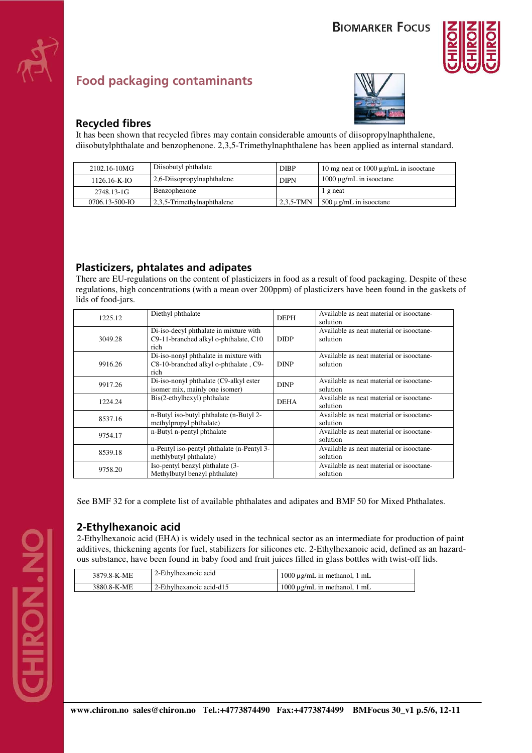

# **Food packaging contaminants**



#### **Recycled fibres**

It has been shown that recycled fibres may contain considerable amounts of diisopropylnaphthalene, diisobutylphthalate and benzophenone. 2,3,5-Trimethylnaphthalene has been applied as internal standard.

| 2102.16-10MG       | Diisobutyl phthalate               | <b>DIBP</b> | 10 mg neat or 1000 $\mu$ g/mL in isoloctane |
|--------------------|------------------------------------|-------------|---------------------------------------------|
| $1126.16 - K - IO$ | 2,6-Diisopropylnaphthalene         | <b>DIPN</b> | $1000 \mu$ g/mL in isooctane                |
| 2748.13-1G         | Benzophenone                       |             | l g neat                                    |
| 0706.13-500-IO     | $\vert$ 2,3,5-Trimethylnaphthalene | $2.3.5-TMN$ | $500 \mu g/mL$ in isoloctane                |

#### **Plasticizers, phtalates and adipates**

There are EU-regulations on the content of plasticizers in food as a result of food packaging. Despite of these regulations, high concentrations (with a mean over 200ppm) of plasticizers have been found in the gaskets of lids of food-jars.

| 1225.12 | Diethyl phthalate                                                                       | <b>DEPH</b> | Available as neat material or isooctane-<br>solution |
|---------|-----------------------------------------------------------------------------------------|-------------|------------------------------------------------------|
| 3049.28 | Di-iso-decyl phthalate in mixture with<br>C9-11-branched alkyl o-phthalate, C10<br>rich | <b>DIDP</b> | Available as neat material or isooctane-<br>solution |
| 9916.26 | Di-iso-nonyl phthalate in mixture with<br>C8-10-branched alkyl o-phthalate, C9-<br>rich | <b>DINP</b> | Available as neat material or isooctane-<br>solution |
| 9917.26 | Di-iso-nonyl phthalate (C9-alkyl ester)<br>isomer mix, mainly one isomer)               | <b>DINP</b> | Available as neat material or isooctane-<br>solution |
| 1224.24 | Bis(2-ethylhexyl) phthalate                                                             | <b>DEHA</b> | Available as neat material or isooctane-<br>solution |
| 8537.16 | n-Butyl iso-butyl phthalate (n-Butyl 2-<br>methylpropyl phthalate)                      |             | Available as neat material or isooctane-<br>solution |
| 9754.17 | n-Butyl n-pentyl phthalate                                                              |             | Available as neat material or isooctane-<br>solution |
| 8539.18 | n-Pentyl iso-pentyl phthalate (n-Pentyl 3-<br>methlybutyl phthalate)                    |             | Available as neat material or isooctane-<br>solution |
| 9758.20 | Iso-pentyl benzyl phthalate (3-<br>Methylbutyl benzyl phthalate)                        |             | Available as neat material or isooctane-<br>solution |

See BMF 32 for a complete list of available phthalates and adipates and BMF 50 for Mixed Phthalates.

#### **2-Ethylhexanoic acid**

2-Ethylhexanoic acid (EHA) is widely used in the technical sector as an intermediate for production of paint additives, thickening agents for fuel, stabilizers for silicones etc. 2-Ethylhexanoic acid, defined as an hazardous substance, have been found in baby food and fruit juices filled in glass bottles with twist-off lids.

| 3879.8-K-ME | 2-Ethylhexanoic acid     | 1000 $\mu$ g/mL in methanol, 1 mL |
|-------------|--------------------------|-----------------------------------|
| 3880.8-K-ME | 2-Ethylhexanoic acid-d15 | $1000 \mu$ g/mL in methanol, 1 mL |